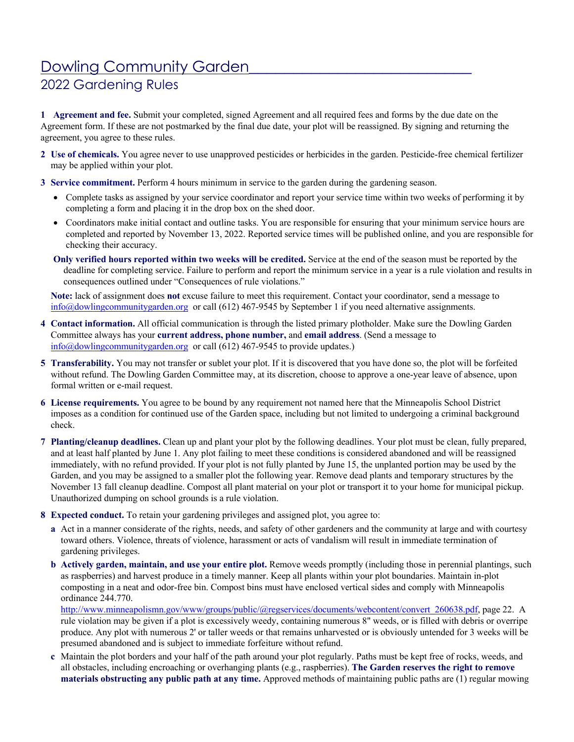# Dowling Community Garden

## 2022 Gardening Rules

**1 Agreement and fee.** Submit your completed, signed Agreement and all required fees and forms by the due date on the Agreement form. If these are not postmarked by the final due date, your plot will be reassigned. By signing and returning the agreement, you agree to these rules.

- **2 Use of chemicals.** You agree never to use unapproved pesticides or herbicides in the garden. Pesticide-free chemical fertilizer may be applied within your plot.
- **3 Service commitment.** Perform 4 hours minimum in service to the garden during the gardening season.
	- Complete tasks as assigned by your service coordinator and report your service time within two weeks of performing it by completing a form and placing it in the drop box on the shed door.
	- Coordinators make initial contact and outline tasks. You are responsible for ensuring that your minimum service hours are completed and reported by November 13, 2022. Reported service times will be published online, and you are responsible for checking their accuracy.
	- **Only verified hours reported within two weeks will be credited.** Service at the end of the season must be reported by the deadline for completing service. Failure to perform and report the minimum service in a year is a rule violation and results in consequences outlined under "Consequences of rule violations."

**Note:** lack of assignment does **not** excuse failure to meet this requirement. Contact your coordinator, send a message to info@dowlingcommunitygarden.org or call (612) 467-9545 by September 1 if you need alternative assignments.

- **4 Contact information.** All official communication is through the listed primary plotholder. Make sure the Dowling Garden Committee always has your **current address, phone number,** and **email address**. (Send a message to info@dowlingcommunitygarden.org or call (612) 467-9545 to provide updates.)
- **5 Transferability.** You may not transfer or sublet your plot. If it is discovered that you have done so, the plot will be forfeited without refund. The Dowling Garden Committee may, at its discretion, choose to approve a one-year leave of absence, upon formal written or e-mail request.
- **6 License requirements.** You agree to be bound by any requirement not named here that the Minneapolis School District imposes as a condition for continued use of the Garden space, including but not limited to undergoing a criminal background check.
- **7 Planting/cleanup deadlines.** Clean up and plant your plot by the following deadlines. Your plot must be clean, fully prepared, and at least half planted by June 1. Any plot failing to meet these conditions is considered abandoned and will be reassigned immediately, with no refund provided. If your plot is not fully planted by June 15, the unplanted portion may be used by the Garden, and you may be assigned to a smaller plot the following year. Remove dead plants and temporary structures by the November 13 fall cleanup deadline. Compost all plant material on your plot or transport it to your home for municipal pickup. Unauthorized dumping on school grounds is a rule violation.
- **8 Expected conduct.** To retain your gardening privileges and assigned plot, you agree to:
	- **a** Act in a manner considerate of the rights, needs, and safety of other gardeners and the community at large and with courtesy toward others. Violence, threats of violence, harassment or acts of vandalism will result in immediate termination of gardening privileges.
	- **b Actively garden, maintain, and use your entire plot.** Remove weeds promptly (including those in perennial plantings, such as raspberries) and harvest produce in a timely manner. Keep all plants within your plot boundaries. Maintain in-plot composting in a neat and odor-free bin. Compost bins must have enclosed vertical sides and comply with Minneapolis ordinance 244.770.

http://www.minneapolismn.gov/www/groups/public/@regservices/documents/webcontent/convert\_260638.pdf, page 22. A rule violation may be given if a plot is excessively weedy, containing numerous 8" weeds, or is filled with debris or overripe produce. Any plot with numerous 2' or taller weeds or that remains unharvested or is obviously untended for 3 weeks will be presumed abandoned and is subject to immediate forfeiture without refund.

**c** Maintain the plot borders and your half of the path around your plot regularly. Paths must be kept free of rocks, weeds, and all obstacles, including encroaching or overhanging plants (e.g., raspberries). **The Garden reserves the right to remove materials obstructing any public path at any time.** Approved methods of maintaining public paths are (1) regular mowing